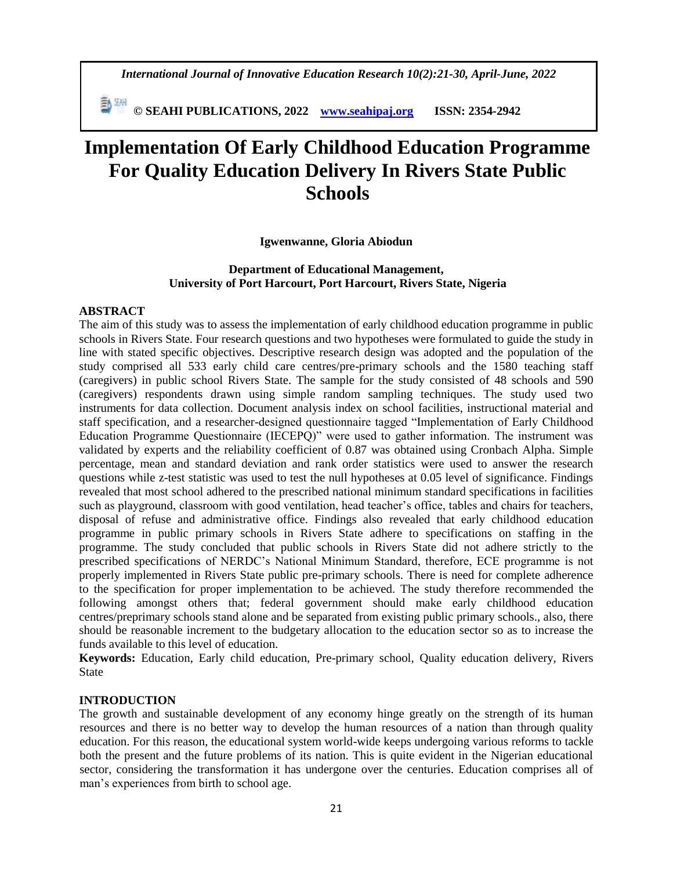*International Journal of Innovative Education Research 10(2):21-30, April-June, 2022*

 **© SEAHI PUBLICATIONS, 2022 [www.seahipaj.org](http://www.seahipaj.org/) ISSN: 2354-2942**

# **Implementation Of Early Childhood Education Programme For Quality Education Delivery In Rivers State Public Schools**

# **Igwenwanne, Gloria Abiodun**

# **Department of Educational Management, University of Port Harcourt, Port Harcourt, Rivers State, Nigeria**

#### **ABSTRACT**

The aim of this study was to assess the implementation of early childhood education programme in public schools in Rivers State. Four research questions and two hypotheses were formulated to guide the study in line with stated specific objectives. Descriptive research design was adopted and the population of the study comprised all 533 early child care centres/pre-primary schools and the 1580 teaching staff (caregivers) in public school Rivers State. The sample for the study consisted of 48 schools and 590 (caregivers) respondents drawn using simple random sampling techniques. The study used two instruments for data collection. Document analysis index on school facilities, instructional material and staff specification, and a researcher-designed questionnaire tagged "Implementation of Early Childhood Education Programme Questionnaire (IECEPQ)" were used to gather information. The instrument was validated by experts and the reliability coefficient of 0.87 was obtained using Cronbach Alpha. Simple percentage, mean and standard deviation and rank order statistics were used to answer the research questions while z-test statistic was used to test the null hypotheses at 0.05 level of significance. Findings revealed that most school adhered to the prescribed national minimum standard specifications in facilities such as playground, classroom with good ventilation, head teacher's office, tables and chairs for teachers, disposal of refuse and administrative office. Findings also revealed that early childhood education programme in public primary schools in Rivers State adhere to specifications on staffing in the programme. The study concluded that public schools in Rivers State did not adhere strictly to the prescribed specifications of NERDC's National Minimum Standard, therefore, ECE programme is not properly implemented in Rivers State public pre-primary schools. There is need for complete adherence to the specification for proper implementation to be achieved. The study therefore recommended the following amongst others that; federal government should make early childhood education centres/preprimary schools stand alone and be separated from existing public primary schools., also, there should be reasonable increment to the budgetary allocation to the education sector so as to increase the funds available to this level of education.

**Keywords:** Education, Early child education, Pre-primary school, Quality education delivery, Rivers State

# **INTRODUCTION**

The growth and sustainable development of any economy hinge greatly on the strength of its human resources and there is no better way to develop the human resources of a nation than through quality education. For this reason, the educational system world-wide keeps undergoing various reforms to tackle both the present and the future problems of its nation. This is quite evident in the Nigerian educational sector, considering the transformation it has undergone over the centuries. Education comprises all of man's experiences from birth to school age.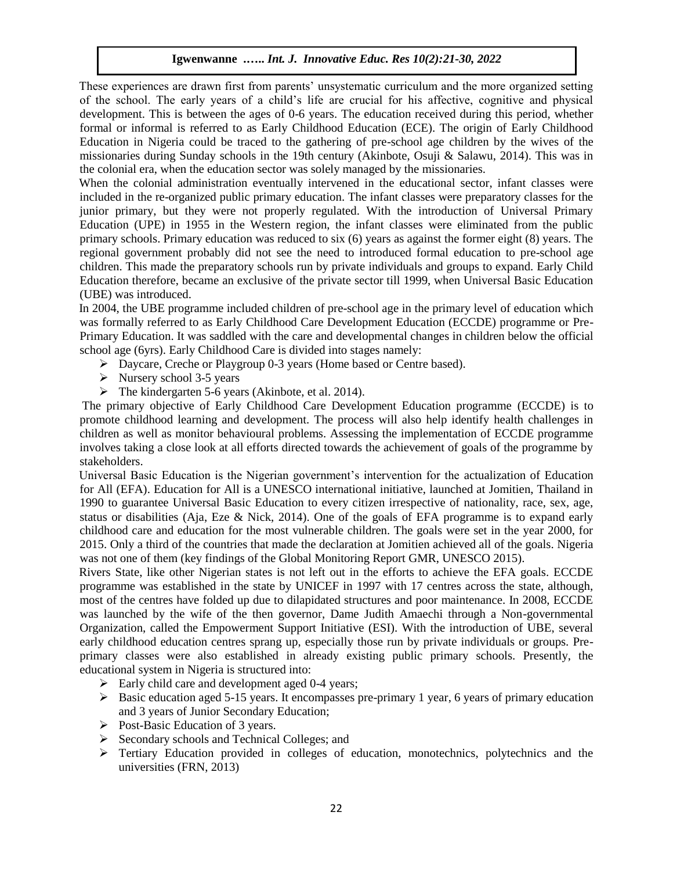These experiences are drawn first from parents' unsystematic curriculum and the more organized setting of the school. The early years of a child's life are crucial for his affective, cognitive and physical development. This is between the ages of 0-6 years. The education received during this period, whether formal or informal is referred to as Early Childhood Education (ECE). The origin of Early Childhood Education in Nigeria could be traced to the gathering of pre-school age children by the wives of the missionaries during Sunday schools in the 19th century (Akinbote, Osuji & Salawu, 2014). This was in the colonial era, when the education sector was solely managed by the missionaries.

When the colonial administration eventually intervened in the educational sector, infant classes were included in the re-organized public primary education. The infant classes were preparatory classes for the junior primary, but they were not properly regulated. With the introduction of Universal Primary Education (UPE) in 1955 in the Western region, the infant classes were eliminated from the public primary schools. Primary education was reduced to six (6) years as against the former eight (8) years. The regional government probably did not see the need to introduced formal education to pre-school age children. This made the preparatory schools run by private individuals and groups to expand. Early Child Education therefore, became an exclusive of the private sector till 1999, when Universal Basic Education (UBE) was introduced.

In 2004, the UBE programme included children of pre-school age in the primary level of education which was formally referred to as Early Childhood Care Development Education (ECCDE) programme or Pre-Primary Education. It was saddled with the care and developmental changes in children below the official school age (6yrs). Early Childhood Care is divided into stages namely:

- Daycare, Creche or Playgroup 0-3 years (Home based or Centre based).
- $\triangleright$  Nursery school 3-5 years
- The kindergarten 5-6 years (Akinbote, et al. 2014).

The primary objective of Early Childhood Care Development Education programme (ECCDE) is to promote childhood learning and development. The process will also help identify health challenges in children as well as monitor behavioural problems. Assessing the implementation of ECCDE programme involves taking a close look at all efforts directed towards the achievement of goals of the programme by stakeholders.

Universal Basic Education is the Nigerian government's intervention for the actualization of Education for All (EFA). Education for All is a UNESCO international initiative, launched at Jomitien, Thailand in 1990 to guarantee Universal Basic Education to every citizen irrespective of nationality, race, sex, age, status or disabilities (Aja, Eze & Nick, 2014). One of the goals of EFA programme is to expand early childhood care and education for the most vulnerable children. The goals were set in the year 2000, for 2015. Only a third of the countries that made the declaration at Jomitien achieved all of the goals. Nigeria was not one of them (key findings of the Global Monitoring Report GMR, UNESCO 2015).

Rivers State, like other Nigerian states is not left out in the efforts to achieve the EFA goals. ECCDE programme was established in the state by UNICEF in 1997 with 17 centres across the state, although, most of the centres have folded up due to dilapidated structures and poor maintenance. In 2008, ECCDE was launched by the wife of the then governor, Dame Judith Amaechi through a Non-governmental Organization, called the Empowerment Support Initiative (ESI). With the introduction of UBE, several early childhood education centres sprang up, especially those run by private individuals or groups. Preprimary classes were also established in already existing public primary schools. Presently, the educational system in Nigeria is structured into:

- $\triangleright$  Early child care and development aged 0-4 years;
- Basic education aged 5-15 years. It encompasses pre-primary 1 year, 6 years of primary education and 3 years of Junior Secondary Education;
- $\triangleright$  Post-Basic Education of 3 years.
- $\triangleright$  Secondary schools and Technical Colleges; and
- $\triangleright$  Tertiary Education provided in colleges of education, monotechnics, polytechnics and the universities (FRN, 2013)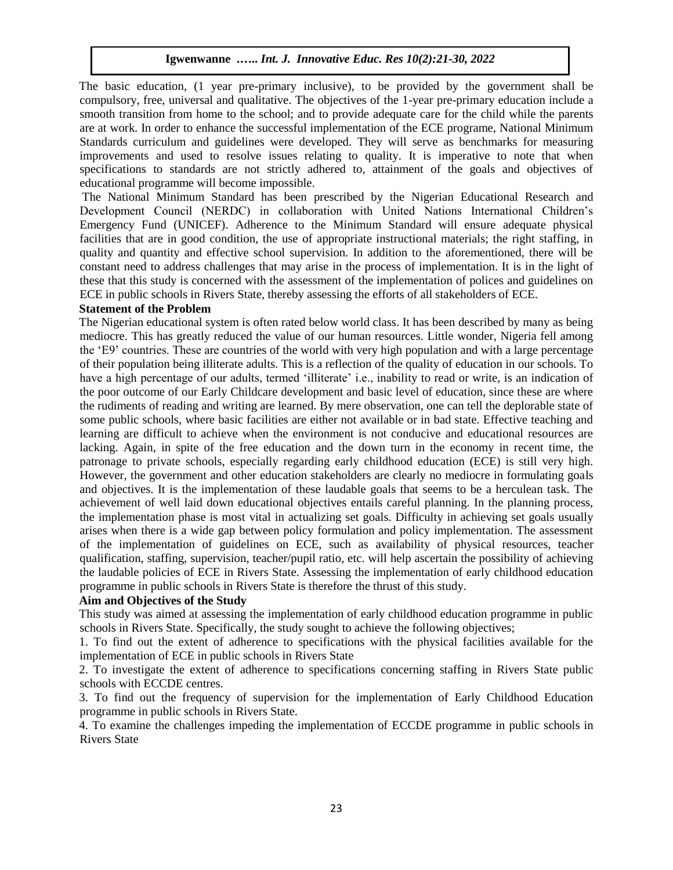The basic education, (1 year pre-primary inclusive), to be provided by the government shall be compulsory, free, universal and qualitative. The objectives of the 1-year pre-primary education include a smooth transition from home to the school; and to provide adequate care for the child while the parents are at work. In order to enhance the successful implementation of the ECE programe, National Minimum Standards curriculum and guidelines were developed. They will serve as benchmarks for measuring improvements and used to resolve issues relating to quality. It is imperative to note that when specifications to standards are not strictly adhered to, attainment of the goals and objectives of educational programme will become impossible.

The National Minimum Standard has been prescribed by the Nigerian Educational Research and Development Council (NERDC) in collaboration with United Nations International Children's Emergency Fund (UNICEF). Adherence to the Minimum Standard will ensure adequate physical facilities that are in good condition, the use of appropriate instructional materials; the right staffing, in quality and quantity and effective school supervision. In addition to the aforementioned, there will be constant need to address challenges that may arise in the process of implementation. It is in the light of these that this study is concerned with the assessment of the implementation of polices and guidelines on ECE in public schools in Rivers State, thereby assessing the efforts of all stakeholders of ECE.

# **Statement of the Problem**

The Nigerian educational system is often rated below world class. It has been described by many as being mediocre. This has greatly reduced the value of our human resources. Little wonder, Nigeria fell among the 'E9' countries. These are countries of the world with very high population and with a large percentage of their population being illiterate adults. This is a reflection of the quality of education in our schools. To have a high percentage of our adults, termed 'illiterate' i.e., inability to read or write, is an indication of the poor outcome of our Early Childcare development and basic level of education, since these are where the rudiments of reading and writing are learned. By mere observation, one can tell the deplorable state of some public schools, where basic facilities are either not available or in bad state. Effective teaching and learning are difficult to achieve when the environment is not conducive and educational resources are lacking. Again, in spite of the free education and the down turn in the economy in recent time, the patronage to private schools, especially regarding early childhood education (ECE) is still very high. However, the government and other education stakeholders are clearly no mediocre in formulating goals and objectives. It is the implementation of these laudable goals that seems to be a herculean task. The achievement of well laid down educational objectives entails careful planning. In the planning process, the implementation phase is most vital in actualizing set goals. Difficulty in achieving set goals usually arises when there is a wide gap between policy formulation and policy implementation. The assessment of the implementation of guidelines on ECE, such as availability of physical resources, teacher qualification, staffing, supervision, teacher/pupil ratio, etc. will help ascertain the possibility of achieving the laudable policies of ECE in Rivers State. Assessing the implementation of early childhood education programme in public schools in Rivers State is therefore the thrust of this study.

#### **Aim and Objectives of the Study**

This study was aimed at assessing the implementation of early childhood education programme in public schools in Rivers State. Specifically, the study sought to achieve the following objectives;

1. To find out the extent of adherence to specifications with the physical facilities available for the implementation of ECE in public schools in Rivers State

2. To investigate the extent of adherence to specifications concerning staffing in Rivers State public schools with ECCDE centres.

3. To find out the frequency of supervision for the implementation of Early Childhood Education programme in public schools in Rivers State.

4. To examine the challenges impeding the implementation of ECCDE programme in public schools in Rivers State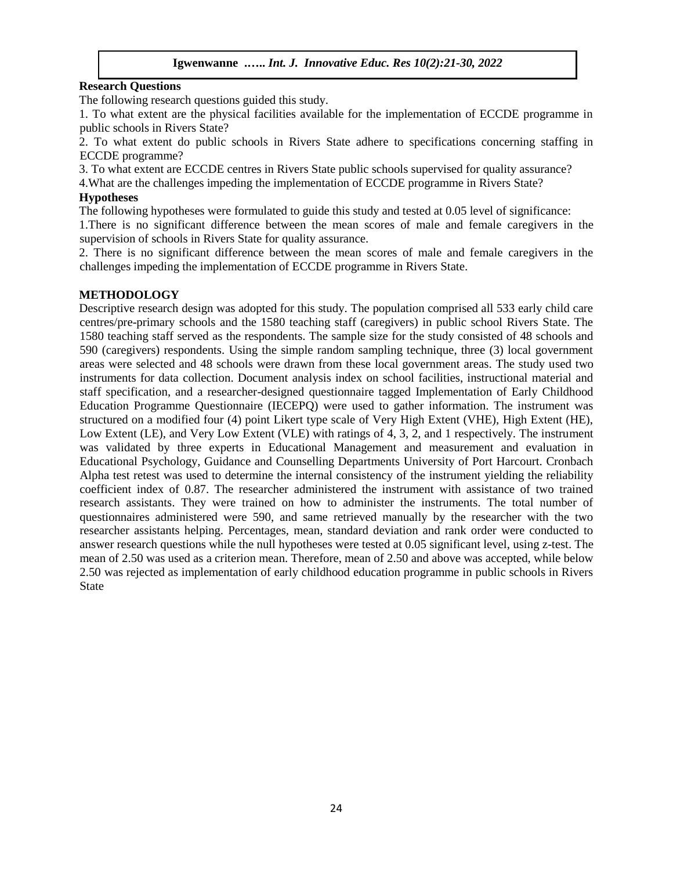# **Research Questions**

The following research questions guided this study.

1. To what extent are the physical facilities available for the implementation of ECCDE programme in public schools in Rivers State?

2. To what extent do public schools in Rivers State adhere to specifications concerning staffing in ECCDE programme?

3. To what extent are ECCDE centres in Rivers State public schools supervised for quality assurance?

4.What are the challenges impeding the implementation of ECCDE programme in Rivers State?

# **Hypotheses**

The following hypotheses were formulated to guide this study and tested at 0.05 level of significance: 1.There is no significant difference between the mean scores of male and female caregivers in the supervision of schools in Rivers State for quality assurance.

2. There is no significant difference between the mean scores of male and female caregivers in the challenges impeding the implementation of ECCDE programme in Rivers State.

# **METHODOLOGY**

Descriptive research design was adopted for this study. The population comprised all 533 early child care centres/pre-primary schools and the 1580 teaching staff (caregivers) in public school Rivers State. The 1580 teaching staff served as the respondents. The sample size for the study consisted of 48 schools and 590 (caregivers) respondents. Using the simple random sampling technique, three (3) local government areas were selected and 48 schools were drawn from these local government areas. The study used two instruments for data collection. Document analysis index on school facilities, instructional material and staff specification, and a researcher-designed questionnaire tagged Implementation of Early Childhood Education Programme Questionnaire (IECEPQ) were used to gather information. The instrument was structured on a modified four (4) point Likert type scale of Very High Extent (VHE), High Extent (HE), Low Extent (LE), and Very Low Extent (VLE) with ratings of 4, 3, 2, and 1 respectively. The instrument was validated by three experts in Educational Management and measurement and evaluation in Educational Psychology, Guidance and Counselling Departments University of Port Harcourt. Cronbach Alpha test retest was used to determine the internal consistency of the instrument yielding the reliability coefficient index of 0.87. The researcher administered the instrument with assistance of two trained research assistants. They were trained on how to administer the instruments. The total number of questionnaires administered were 590, and same retrieved manually by the researcher with the two researcher assistants helping. Percentages, mean, standard deviation and rank order were conducted to answer research questions while the null hypotheses were tested at 0.05 significant level, using z-test. The mean of 2.50 was used as a criterion mean. Therefore, mean of 2.50 and above was accepted, while below 2.50 was rejected as implementation of early childhood education programme in public schools in Rivers State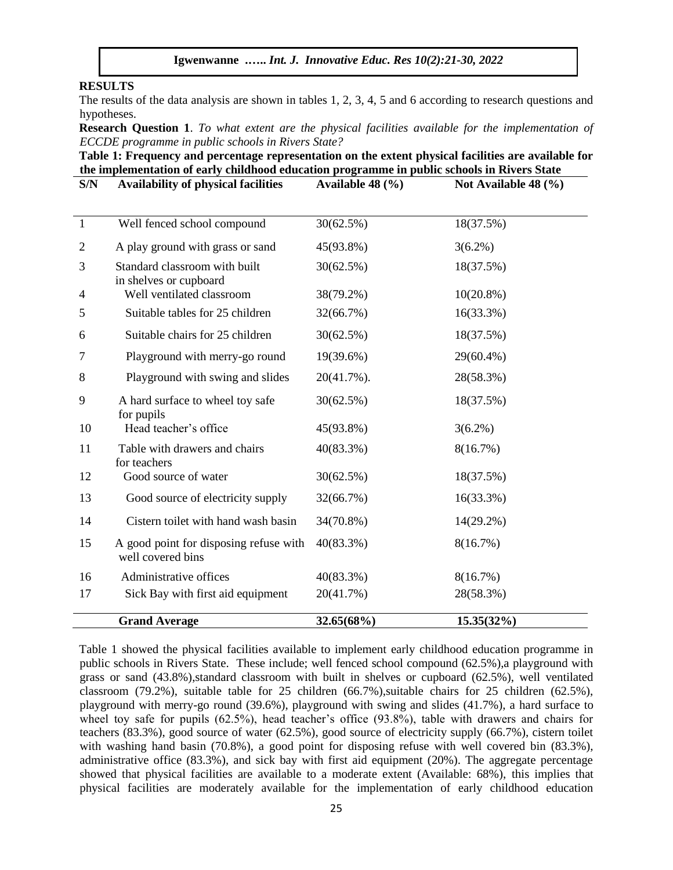#### **RESULTS**

The results of the data analysis are shown in tables 1, 2, 3, 4, 5 and 6 according to research questions and hypotheses.

**Research Question 1**. *To what extent are the physical facilities available for the implementation of ECCDE programme in public schools in Rivers State?* 

**Table 1: Frequency and percentage representation on the extent physical facilities are available for the implementation of early childhood education programme in public schools in Rivers State** 

| S/N            | <b>Availability of physical facilities</b>                  | Available 48 (%) | Not Available 48 (%) |
|----------------|-------------------------------------------------------------|------------------|----------------------|
| $\mathbf{1}$   | Well fenced school compound                                 | 30(62.5%)        | 18(37.5%)            |
| $\overline{2}$ | A play ground with grass or sand                            | 45(93.8%)        | $3(6.2\%)$           |
| 3              | Standard classroom with built<br>in shelves or cupboard     | 30(62.5%)        | 18(37.5%)            |
| 4              | Well ventilated classroom                                   | 38(79.2%)        | $10(20.8\%)$         |
| 5              | Suitable tables for 25 children                             | 32(66.7%)        | $16(33.3\%)$         |
| 6              | Suitable chairs for 25 children                             | 30(62.5%)        | 18(37.5%)            |
| 7              | Playground with merry-go round                              | 19(39.6%)        | 29(60.4%)            |
| 8              | Playground with swing and slides                            | $20(41.7\%)$ .   | 28(58.3%)            |
| 9              | A hard surface to wheel toy safe<br>for pupils              | 30(62.5%)        | 18(37.5%)            |
| 10             | Head teacher's office                                       | 45(93.8%)        | $3(6.2\%)$           |
| 11             | Table with drawers and chairs<br>for teachers               | 40(83.3%)        | 8(16.7%)             |
| 12             | Good source of water                                        | 30(62.5%)        | 18(37.5%)            |
| 13             | Good source of electricity supply                           | 32(66.7%)        | 16(33.3%)            |
| 14             | Cistern toilet with hand wash basin                         | 34(70.8%)        | $14(29.2\%)$         |
| 15             | A good point for disposing refuse with<br>well covered bins | 40(83.3%)        | 8(16.7%)             |
| 16             | Administrative offices                                      | 40(83.3%)        | 8(16.7%)             |
| 17             | Sick Bay with first aid equipment                           | 20(41.7%)        | 28(58.3%)            |
|                | <b>Grand Average</b>                                        | 32.65(68%)       | 15.35(32%)           |

Table 1 showed the physical facilities available to implement early childhood education programme in public schools in Rivers State. These include; well fenced school compound (62.5%),a playground with grass or sand  $(43.8\%)$ , standard classroom with built in shelves or cupboard  $(62.5\%)$ , well ventilated classroom (79.2%), suitable table for 25 children (66.7%),suitable chairs for 25 children (62.5%), playground with merry-go round (39.6%), playground with swing and slides (41.7%), a hard surface to wheel toy safe for pupils (62.5%), head teacher's office (93.8%), table with drawers and chairs for teachers (83.3%), good source of water (62.5%), good source of electricity supply (66.7%), cistern toilet with washing hand basin (70.8%), a good point for disposing refuse with well covered bin (83.3%), administrative office (83.3%), and sick bay with first aid equipment (20%). The aggregate percentage showed that physical facilities are available to a moderate extent (Available: 68%), this implies that physical facilities are moderately available for the implementation of early childhood education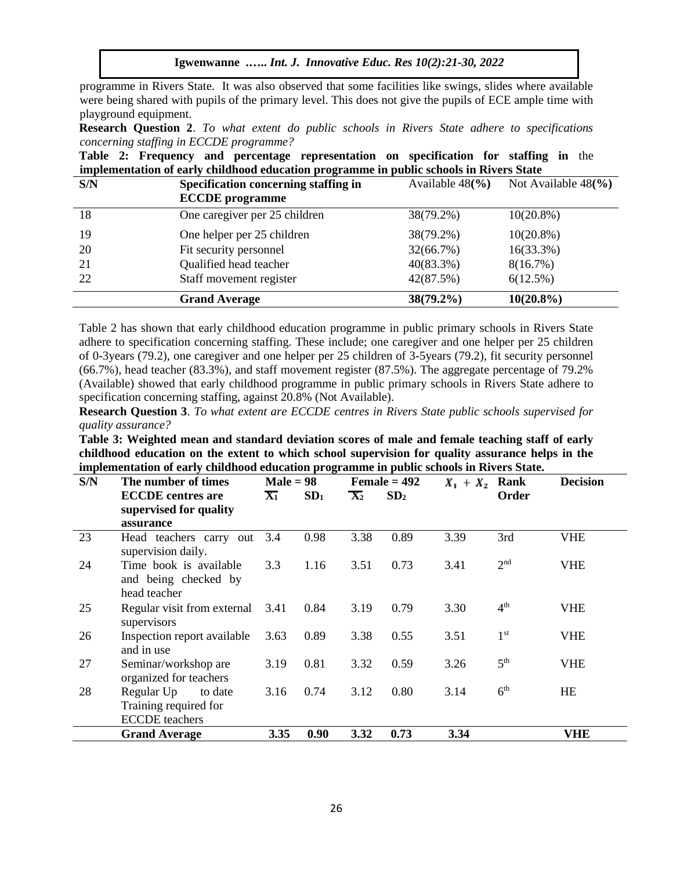programme in Rivers State. It was also observed that some facilities like swings, slides where available were being shared with pupils of the primary level. This does not give the pupils of ECE ample time with playground equipment.

**Research Question 2**. *To what extent do public schools in Rivers State adhere to specifications concerning staffing in ECCDE programme?* 

**Table 2: Frequency and percentage representation on specification for staffing in** the **implementation of early childhood education programme in public schools in Rivers State** 

| S/N | Specification concerning staffing in<br><b>ECCDE</b> programme | Available $48\frac{6}{6}$ | Not Available $48\frac{6}{6}$ |
|-----|----------------------------------------------------------------|---------------------------|-------------------------------|
| 18  | One caregiver per 25 children                                  | 38(79.2%)                 | $10(20.8\%)$                  |
| 19  | One helper per 25 children                                     | 38(79.2%)                 | $10(20.8\%)$                  |
| 20  | Fit security personnel                                         | 32(66.7%)                 | 16(33.3%)                     |
| 21  | Qualified head teacher                                         | 40(83.3%)                 | 8(16.7%)                      |
| 22  | Staff movement register                                        | 42(87.5%)                 | 6(12.5%)                      |
|     | <b>Grand Average</b>                                           | $38(79.2\%)$              | $10(20.8\%)$                  |

Table 2 has shown that early childhood education programme in public primary schools in Rivers State adhere to specification concerning staffing. These include; one caregiver and one helper per 25 children of 0-3years (79.2), one caregiver and one helper per 25 children of 3-5years (79.2), fit security personnel (66.7%), head teacher (83.3%), and staff movement register (87.5%). The aggregate percentage of 79.2% (Available) showed that early childhood programme in public primary schools in Rivers State adhere to specification concerning staffing, against 20.8% (Not Available).

**Research Question 3**. *To what extent are ECCDE centres in Rivers State public schools supervised for quality assurance?*

**Table 3: Weighted mean and standard deviation scores of male and female teaching staff of early childhood education on the extent to which school supervision for quality assurance helps in the implementation of early childhood education programme in public schools in Rivers State.**

| S/N | The number of times                                                     | $Male = 98$    |                 |                           | Female $= 492$  | $X_1 + X_2$ | Rank            | <b>Decision</b> |
|-----|-------------------------------------------------------------------------|----------------|-----------------|---------------------------|-----------------|-------------|-----------------|-----------------|
|     | <b>ECCDE</b> centres are                                                | $\mathbf{X}_1$ | SD <sub>1</sub> | $\overline{\mathbf{X}_2}$ | SD <sub>2</sub> |             | Order           |                 |
|     | supervised for quality                                                  |                |                 |                           |                 |             |                 |                 |
|     | assurance                                                               |                |                 |                           |                 |             |                 |                 |
| 23  | Head teachers carry out<br>supervision daily.                           | 3.4            | 0.98            | 3.38                      | 0.89            | 3.39        | 3rd             | <b>VHE</b>      |
| 24  | Time book is available<br>and being checked by<br>head teacher          | 3.3            | 1.16            | 3.51                      | 0.73            | 3.41        | 2 <sup>nd</sup> | <b>VHE</b>      |
| 25  | Regular visit from external 3.41<br>supervisors                         |                | 0.84            | 3.19                      | 0.79            | 3.30        | 4 <sup>th</sup> | <b>VHE</b>      |
| 26  | Inspection report available<br>and in use                               | 3.63           | 0.89            | 3.38                      | 0.55            | 3.51        | 1 <sup>st</sup> | <b>VHE</b>      |
| 27  | Seminar/workshop are<br>organized for teachers                          | 3.19           | 0.81            | 3.32                      | 0.59            | 3.26        | 5 <sup>th</sup> | VHE             |
| 28  | Regular Up<br>to date<br>Training required for<br><b>ECCDE</b> teachers | 3.16           | 0.74            | 3.12                      | 0.80            | 3.14        | 6 <sup>th</sup> | <b>HE</b>       |
|     | <b>Grand Average</b>                                                    | 3.35           | 0.90            | 3.32                      | 0.73            | 3.34        |                 | VHE             |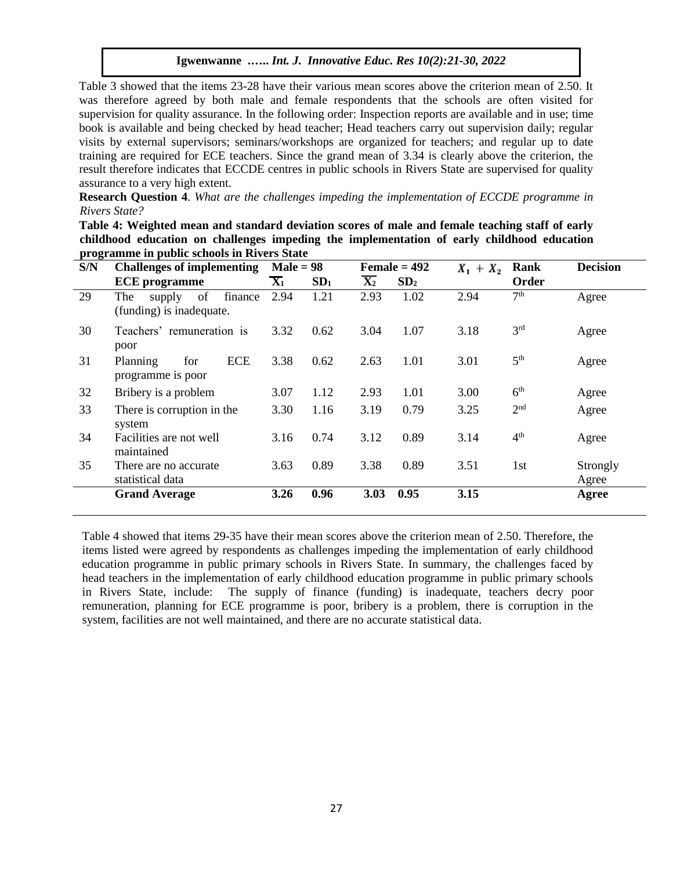Table 3 showed that the items 23-28 have their various mean scores above the criterion mean of 2.50. It was therefore agreed by both male and female respondents that the schools are often visited for supervision for quality assurance. In the following order: Inspection reports are available and in use; time book is available and being checked by head teacher; Head teachers carry out supervision daily; regular visits by external supervisors; seminars/workshops are organized for teachers; and regular up to date training are required for ECE teachers. Since the grand mean of 3.34 is clearly above the criterion, the result therefore indicates that ECCDE centres in public schools in Rivers State are supervised for quality assurance to a very high extent.

**Research Question 4**. *What are the challenges impeding the implementation of ECCDE programme in Rivers State?* 

**Table 4: Weighted mean and standard deviation scores of male and female teaching staff of early childhood education on challenges impeding the implementation of early childhood education programme in public schools in Rivers State**

| S/N | <b>Challenges of implementing</b>                          | $Male = 98$    |                 |                           | Female $= 492$  | $X_1 + X_2$ | Rank            | <b>Decision</b>   |
|-----|------------------------------------------------------------|----------------|-----------------|---------------------------|-----------------|-------------|-----------------|-------------------|
|     | <b>ECE</b> programme                                       | $\mathbf{X}_1$ | SD <sub>1</sub> | $\overline{\mathrm{X_2}}$ | SD <sub>2</sub> |             | Order           |                   |
| 29  | of<br>finance<br>The<br>supply<br>(funding) is inadequate. | 2.94           | 1.21            | 2.93                      | 1.02            | 2.94        | 7 <sup>th</sup> | Agree             |
| 30  | Teachers' remuneration is<br>poor                          | 3.32           | 0.62            | 3.04                      | 1.07            | 3.18        | 3 <sup>rd</sup> | Agree             |
| 31  | ECE<br>for<br>Planning<br>programme is poor                | 3.38           | 0.62            | 2.63                      | 1.01            | 3.01        | 5 <sup>th</sup> | Agree             |
| 32  | Bribery is a problem                                       | 3.07           | 1.12            | 2.93                      | 1.01            | 3.00        | 6 <sup>th</sup> | Agree             |
| 33  | There is corruption in the<br>system                       | 3.30           | 1.16            | 3.19                      | 0.79            | 3.25        | 2 <sup>nd</sup> | Agree             |
| 34  | Facilities are not well<br>maintained                      | 3.16           | 0.74            | 3.12                      | 0.89            | 3.14        | 4 <sup>th</sup> | Agree             |
| 35  | There are no accurate<br>statistical data                  | 3.63           | 0.89            | 3.38                      | 0.89            | 3.51        | 1st             | Strongly<br>Agree |
|     | <b>Grand Average</b>                                       | 3.26           | 0.96            | 3.03                      | 0.95            | 3.15        |                 | Agree             |

Table 4 showed that items 29-35 have their mean scores above the criterion mean of 2.50. Therefore, the items listed were agreed by respondents as challenges impeding the implementation of early childhood education programme in public primary schools in Rivers State. In summary, the challenges faced by head teachers in the implementation of early childhood education programme in public primary schools in Rivers State, include: The supply of finance (funding) is inadequate, teachers decry poor remuneration, planning for ECE programme is poor, bribery is a problem, there is corruption in the system, facilities are not well maintained, and there are no accurate statistical data.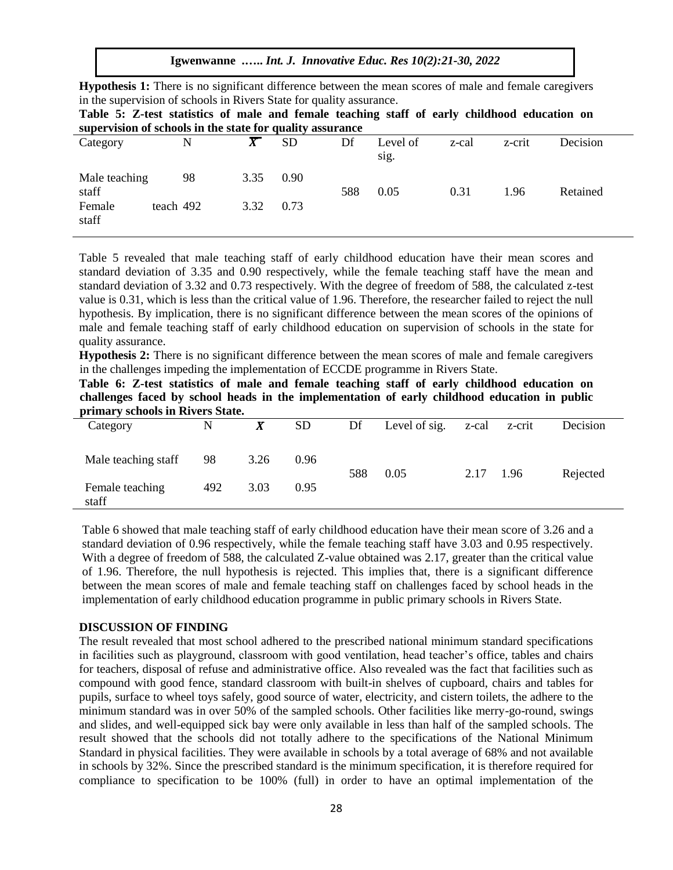**Hypothesis 1:** There is no significant difference between the mean scores of male and female caregivers in the supervision of schools in Rivers State for quality assurance.

|  |                                                           |  |  |  |  | Table 5: Z-test statistics of male and female teaching staff of early childhood education on |  |
|--|-----------------------------------------------------------|--|--|--|--|----------------------------------------------------------------------------------------------|--|
|  | supervision of schools in the state for quality assurance |  |  |  |  |                                                                                              |  |

| $\overline{\phantom{a}}$<br>Category |           | N  | $\overline{X}$ | <b>SD</b> | Df  | Level of<br>sig. | z-cal | z-crit | Decision |
|--------------------------------------|-----------|----|----------------|-----------|-----|------------------|-------|--------|----------|
| Male teaching<br>staff               |           | 98 | 3.35           | 0.90      | 588 | 0.05             | 0.31  | 1.96   | Retained |
| Female<br>staff                      | teach 492 |    | 3.32           | 0.73      |     |                  |       |        |          |

Table 5 revealed that male teaching staff of early childhood education have their mean scores and standard deviation of 3.35 and 0.90 respectively, while the female teaching staff have the mean and standard deviation of 3.32 and 0.73 respectively. With the degree of freedom of 588, the calculated z-test value is 0.31, which is less than the critical value of 1.96. Therefore, the researcher failed to reject the null hypothesis. By implication, there is no significant difference between the mean scores of the opinions of male and female teaching staff of early childhood education on supervision of schools in the state for quality assurance.

**Hypothesis 2:** There is no significant difference between the mean scores of male and female caregivers in the challenges impeding the implementation of ECCDE programme in Rivers State.

**Table 6: Z-test statistics of male and female teaching staff of early childhood education on challenges faced by school heads in the implementation of early childhood education in public primary schools in Rivers State.** 

| Category                 | N   | X    | <b>SD</b> | Df  | Level of sig. | z-cal | z-crit | Decision |
|--------------------------|-----|------|-----------|-----|---------------|-------|--------|----------|
| Male teaching staff      | 98  | 3.26 | 0.96      | 588 | 0.05          | 2.17  | 1.96   |          |
| Female teaching<br>staff | 492 | 3.03 | 0.95      |     |               |       |        | Rejected |

Table 6 showed that male teaching staff of early childhood education have their mean score of 3.26 and a standard deviation of 0.96 respectively, while the female teaching staff have 3.03 and 0.95 respectively. With a degree of freedom of 588, the calculated Z-value obtained was 2.17, greater than the critical value of 1.96. Therefore, the null hypothesis is rejected. This implies that, there is a significant difference between the mean scores of male and female teaching staff on challenges faced by school heads in the implementation of early childhood education programme in public primary schools in Rivers State.

#### **DISCUSSION OF FINDING**

The result revealed that most school adhered to the prescribed national minimum standard specifications in facilities such as playground, classroom with good ventilation, head teacher's office, tables and chairs for teachers, disposal of refuse and administrative office. Also revealed was the fact that facilities such as compound with good fence, standard classroom with built-in shelves of cupboard, chairs and tables for pupils, surface to wheel toys safely, good source of water, electricity, and cistern toilets, the adhere to the minimum standard was in over 50% of the sampled schools. Other facilities like merry-go-round, swings and slides, and well-equipped sick bay were only available in less than half of the sampled schools. The result showed that the schools did not totally adhere to the specifications of the National Minimum Standard in physical facilities. They were available in schools by a total average of 68% and not available in schools by 32%. Since the prescribed standard is the minimum specification, it is therefore required for compliance to specification to be 100% (full) in order to have an optimal implementation of the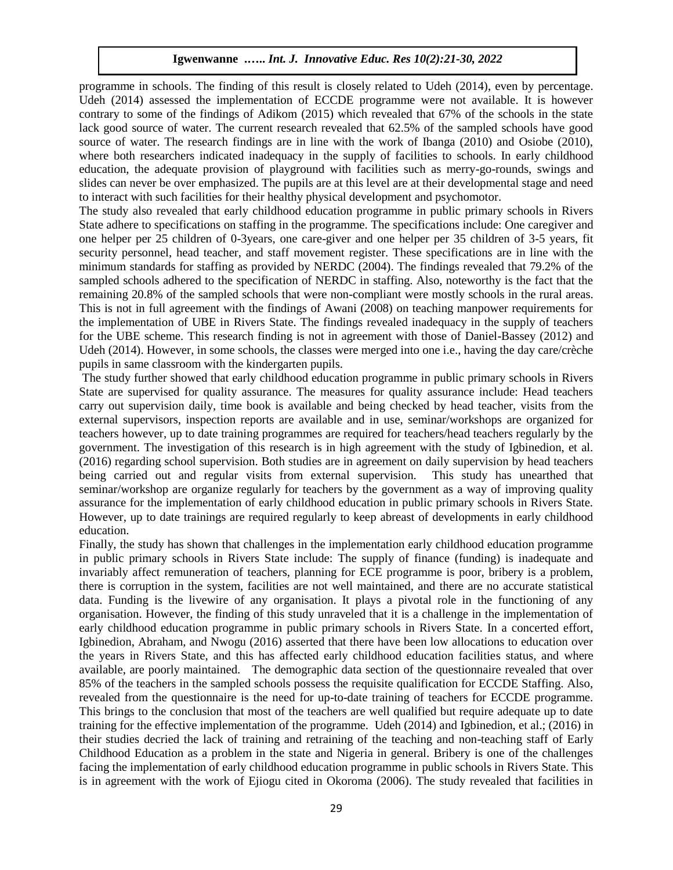programme in schools. The finding of this result is closely related to Udeh (2014), even by percentage. Udeh (2014) assessed the implementation of ECCDE programme were not available. It is however contrary to some of the findings of Adikom (2015) which revealed that 67% of the schools in the state lack good source of water. The current research revealed that 62.5% of the sampled schools have good source of water. The research findings are in line with the work of Ibanga (2010) and Osiobe (2010), where both researchers indicated inadequacy in the supply of facilities to schools. In early childhood education, the adequate provision of playground with facilities such as merry-go-rounds, swings and slides can never be over emphasized. The pupils are at this level are at their developmental stage and need to interact with such facilities for their healthy physical development and psychomotor.

The study also revealed that early childhood education programme in public primary schools in Rivers State adhere to specifications on staffing in the programme. The specifications include: One caregiver and one helper per 25 children of 0-3years, one care-giver and one helper per 35 children of 3-5 years, fit security personnel, head teacher, and staff movement register. These specifications are in line with the minimum standards for staffing as provided by NERDC (2004). The findings revealed that 79.2% of the sampled schools adhered to the specification of NERDC in staffing. Also, noteworthy is the fact that the remaining 20.8% of the sampled schools that were non-compliant were mostly schools in the rural areas. This is not in full agreement with the findings of Awani (2008) on teaching manpower requirements for the implementation of UBE in Rivers State. The findings revealed inadequacy in the supply of teachers for the UBE scheme. This research finding is not in agreement with those of Daniel-Bassey (2012) and Udeh (2014). However, in some schools, the classes were merged into one i.e., having the day care/crèche pupils in same classroom with the kindergarten pupils.

The study further showed that early childhood education programme in public primary schools in Rivers State are supervised for quality assurance. The measures for quality assurance include: Head teachers carry out supervision daily, time book is available and being checked by head teacher, visits from the external supervisors, inspection reports are available and in use, seminar/workshops are organized for teachers however, up to date training programmes are required for teachers/head teachers regularly by the government. The investigation of this research is in high agreement with the study of Igbinedion, et al. (2016) regarding school supervision. Both studies are in agreement on daily supervision by head teachers being carried out and regular visits from external supervision. This study has unearthed that seminar/workshop are organize regularly for teachers by the government as a way of improving quality assurance for the implementation of early childhood education in public primary schools in Rivers State. However, up to date trainings are required regularly to keep abreast of developments in early childhood education.

Finally, the study has shown that challenges in the implementation early childhood education programme in public primary schools in Rivers State include: The supply of finance (funding) is inadequate and invariably affect remuneration of teachers, planning for ECE programme is poor, bribery is a problem, there is corruption in the system, facilities are not well maintained, and there are no accurate statistical data. Funding is the livewire of any organisation. It plays a pivotal role in the functioning of any organisation. However, the finding of this study unraveled that it is a challenge in the implementation of early childhood education programme in public primary schools in Rivers State. In a concerted effort, Igbinedion, Abraham, and Nwogu (2016) asserted that there have been low allocations to education over the years in Rivers State, and this has affected early childhood education facilities status, and where available, are poorly maintained. The demographic data section of the questionnaire revealed that over 85% of the teachers in the sampled schools possess the requisite qualification for ECCDE Staffing. Also, revealed from the questionnaire is the need for up-to-date training of teachers for ECCDE programme. This brings to the conclusion that most of the teachers are well qualified but require adequate up to date training for the effective implementation of the programme. Udeh (2014) and Igbinedion, et al.; (2016) in their studies decried the lack of training and retraining of the teaching and non-teaching staff of Early Childhood Education as a problem in the state and Nigeria in general. Bribery is one of the challenges facing the implementation of early childhood education programme in public schools in Rivers State. This is in agreement with the work of Ejiogu cited in Okoroma (2006). The study revealed that facilities in